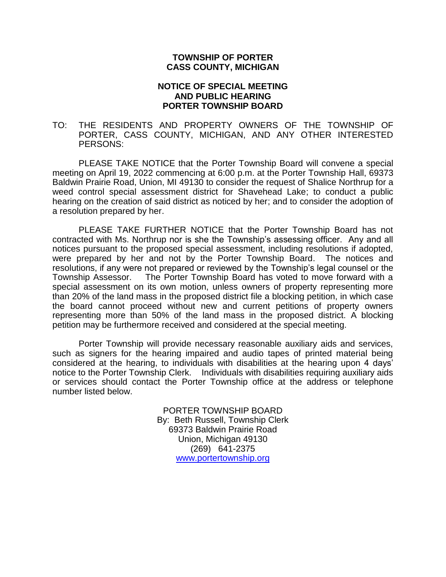## **TOWNSHIP OF PORTER CASS COUNTY, MICHIGAN**

## **NOTICE OF SPECIAL MEETING AND PUBLIC HEARING PORTER TOWNSHIP BOARD**

TO: THE RESIDENTS AND PROPERTY OWNERS OF THE TOWNSHIP OF PORTER, CASS COUNTY, MICHIGAN, AND ANY OTHER INTERESTED PERSONS:

PLEASE TAKE NOTICE that the Porter Township Board will convene a special meeting on April 19, 2022 commencing at 6:00 p.m. at the Porter Township Hall, 69373 Baldwin Prairie Road, Union, MI 49130 to consider the request of Shalice Northrup for a weed control special assessment district for Shavehead Lake; to conduct a public hearing on the creation of said district as noticed by her; and to consider the adoption of a resolution prepared by her.

PLEASE TAKE FURTHER NOTICE that the Porter Township Board has not contracted with Ms. Northrup nor is she the Township's assessing officer. Any and all notices pursuant to the proposed special assessment, including resolutions if adopted, were prepared by her and not by the Porter Township Board. The notices and resolutions, if any were not prepared or reviewed by the Township's legal counsel or the Township Assessor. The Porter Township Board has voted to move forward with a special assessment on its own motion, unless owners of property representing more than 20% of the land mass in the proposed district file a blocking petition, in which case the board cannot proceed without new and current petitions of property owners representing more than 50% of the land mass in the proposed district. A blocking petition may be furthermore received and considered at the special meeting.

Porter Township will provide necessary reasonable auxiliary aids and services, such as signers for the hearing impaired and audio tapes of printed material being considered at the hearing, to individuals with disabilities at the hearing upon 4 days' notice to the Porter Township Clerk. Individuals with disabilities requiring auxiliary aids or services should contact the Porter Township office at the address or telephone number listed below.

> PORTER TOWNSHIP BOARD By: Beth Russell, Township Clerk 69373 Baldwin Prairie Road Union, Michigan 49130 (269) 641-2375 [www.portertownship.org](http://www.portertownship.org/)